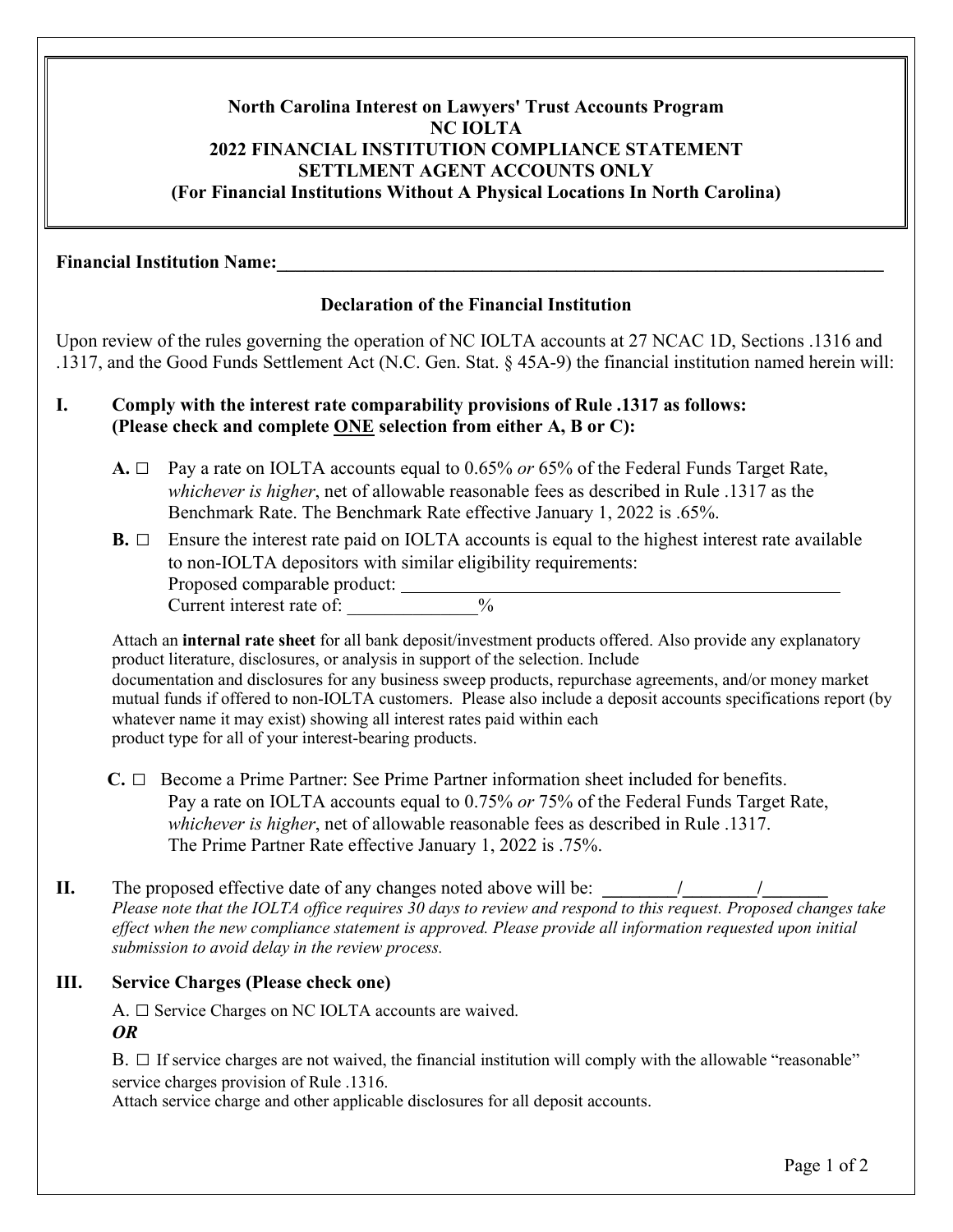# **North Carolina Interest on Lawyers' Trust Accounts Program NC IOLTA 2022 FINANCIAL INSTITUTION COMPLIANCE STATEMENT SETTLMENT AGENT ACCOUNTS ONLY (For Financial Institutions Without A Physical Locations In North Carolina)**

#### **Financial Institution Name:**

#### **Declaration of the Financial Institution**

Upon review of the rules governing the operation of NC IOLTA accounts at 27 NCAC 1D, Sections .1316 and .1317, and the Good Funds Settlement Act (N.C. Gen. Stat. § 45A-9) the financial institution named herein will:

## **I. Comply with the interest rate comparability provisions of Rule .1317 as follows: (Please check and complete ONE selection from either A, B or C):**

- **A. □** Pay a rate on IOLTA accounts equal to 0.65% *or* 65% of the Federal Funds Target Rate, *whichever is higher*, net of allowable reasonable fees as described in Rule .1317 as the Benchmark Rate. The Benchmark Rate effective January 1, 2022 is .65%.
- **B.** □ Ensure the interest rate paid on IOLTA accounts is equal to the highest interest rate available to non-IOLTA depositors with similar eligibility requirements: Proposed comparable product: Current interest rate of:  $\frac{9}{6}$

Attach an **internal rate sheet** for all bank deposit/investment products offered. Also provide any explanatory product literature, disclosures, or analysis in support of the selection. Include documentation and disclosures for any business sweep products, repurchase agreements, and/or money market mutual funds if offered to non-IOLTA customers. Please also include a deposit accounts specifications report (by whatever name it may exist) showing all interest rates paid within each product type for all of your interest-bearing products.

- **C. □** Become a Prime Partner: See Prime Partner information sheet included for benefits. Pay a rate on IOLTA accounts equal to 0.75% *or* 75% of the Federal Funds Target Rate, *whichever is higher*, net of allowable reasonable fees as described in Rule .1317. The Prime Partner Rate effective January 1, 2022 is .75%.
- **II.** The proposed effective date of any changes noted above will be:  $\frac{1}{2}$ *Please note that the IOLTA office requires 30 days to review and respond to this request. Proposed changes take effect when the new compliance statement is approved. Please provide all information requested upon initial submission to avoid delay in the review process.*

### **III. Service Charges (Please check one)**

A. **□** Service Charges on NC IOLTA accounts are waived. *OR*

B. **□** If service charges are not waived, the financial institution will comply with the allowable "reasonable" service charges provision of Rule .1316.

Attach service charge and other applicable disclosures for all deposit accounts.